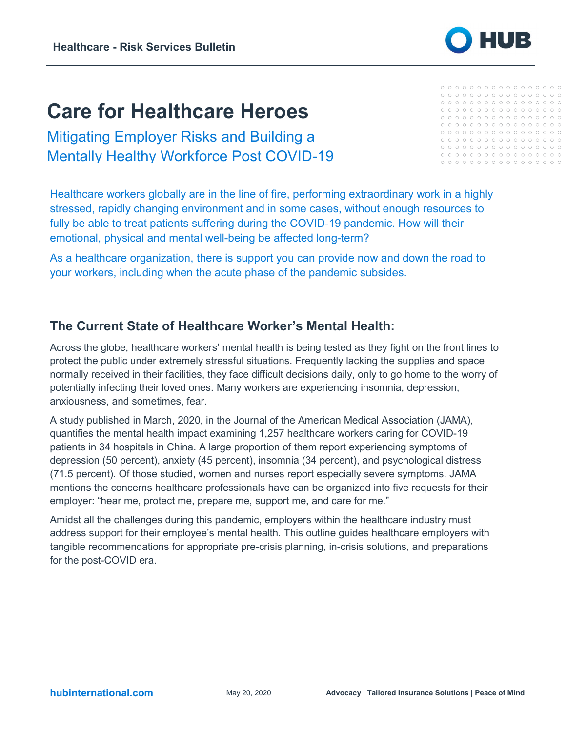# **Care for Healthcare Heroes**

Mitigating Employer Risks and Building a Mentally Healthy Workforce Post COVID-19

Healthcare workers globally are in the line of fire, performing extraordinary work in a highly stressed, rapidly changing environment and in some cases, without enough resources to fully be able to treat patients suffering during the COVID-19 pandemic. How will their emotional, physical and mental well-being be affected long-term?

As a healthcare organization, there is support you can provide now and down the road to your workers, including when the acute phase of the pandemic subsides.

### **The Current State of Healthcare Worker's Mental Health:**

Across the globe, healthcare workers' mental health is being tested as they fight on the front lines to protect the public under extremely stressful situations. Frequently lacking the supplies and space normally received in their facilities, they face difficult decisions daily, only to go home to the worry of potentially infecting their loved ones. Many workers are experiencing insomnia, depression, anxiousness, and sometimes, fear.

A study published in March, 2020, in the Journal of the American Medical Association (JAMA), quantifies the mental health impact examining 1,257 healthcare workers caring for COVID-19 patients in 34 hospitals in China. A large proportion of them report experiencing symptoms of depression (50 percent), anxiety (45 percent), insomnia (34 percent), and psychological distress (71.5 percent). Of those studied, women and nurses report especially severe symptoms. JAMA mentions the concerns healthcare professionals have can be organized into five requests for their employer: "hear me, protect me, prepare me, support me, and care for me."

Amidst all the challenges during this pandemic, employers within the healthcare industry must address support for their employee's mental health. This outline guides healthcare employers with tangible recommendations for appropriate pre-crisis planning, in-crisis solutions, and preparations for the post-COVID era.

| ational.com |
|-------------|
|-------------|

|     | 00000000000000000 |  |  |  |  |  |  |  |
|-----|-------------------|--|--|--|--|--|--|--|
|     |                   |  |  |  |  |  |  |  |
|     |                   |  |  |  |  |  |  |  |
|     |                   |  |  |  |  |  |  |  |
|     |                   |  |  |  |  |  |  |  |
| - 0 |                   |  |  |  |  |  |  |  |

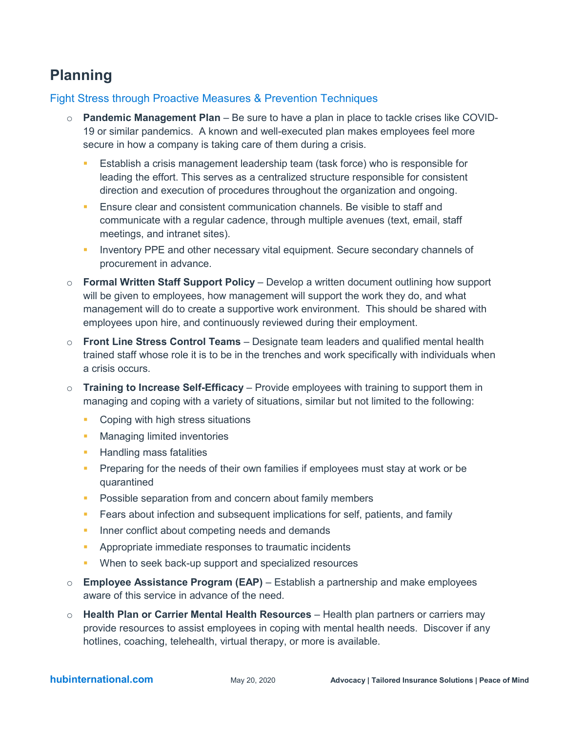## **Planning**

#### Fight Stress through Proactive Measures & Prevention Techniques

- o **Pandemic Management Plan** Be sure to have a plan in place to tackle crises like COVID-19 or similar pandemics. A known and well-executed plan makes employees feel more secure in how a company is taking care of them during a crisis.
	- Establish a crisis management leadership team (task force) who is responsible for leading the effort. This serves as a centralized structure responsible for consistent direction and execution of procedures throughout the organization and ongoing.
	- **Ensure clear and consistent communication channels. Be visible to staff and** communicate with a regular cadence, through multiple avenues (text, email, staff meetings, and intranet sites).
	- Inventory PPE and other necessary vital equipment. Secure secondary channels of procurement in advance.
- o **Formal Written Staff Support Policy** Develop a written document outlining how support will be given to employees, how management will support the work they do, and what management will do to create a supportive work environment. This should be shared with employees upon hire, and continuously reviewed during their employment.
- o **Front Line Stress Control Teams** Designate team leaders and qualified mental health trained staff whose role it is to be in the trenches and work specifically with individuals when a crisis occurs.
- o **Training to Increase Self-Efficacy** Provide employees with training to support them in managing and coping with a variety of situations, similar but not limited to the following:
	- **Coping with high stress situations**
	- **Nanaging limited inventories**
	- **Handling mass fatalities**
	- **Preparing for the needs of their own families if employees must stay at work or be** quarantined
	- **Possible separation from and concern about family members**
	- **Fears about infection and subsequent implications for self, patients, and family**
	- **Inner conflict about competing needs and demands**
	- **Appropriate immediate responses to traumatic incidents**
	- **When to seek back-up support and specialized resources**
- o **Employee Assistance Program (EAP)** Establish a partnership and make employees aware of this service in advance of the need.
- o **Health Plan or Carrier Mental Health Resources** Health plan partners or carriers may provide resources to assist employees in coping with mental health needs. Discover if any hotlines, coaching, telehealth, virtual therapy, or more is available.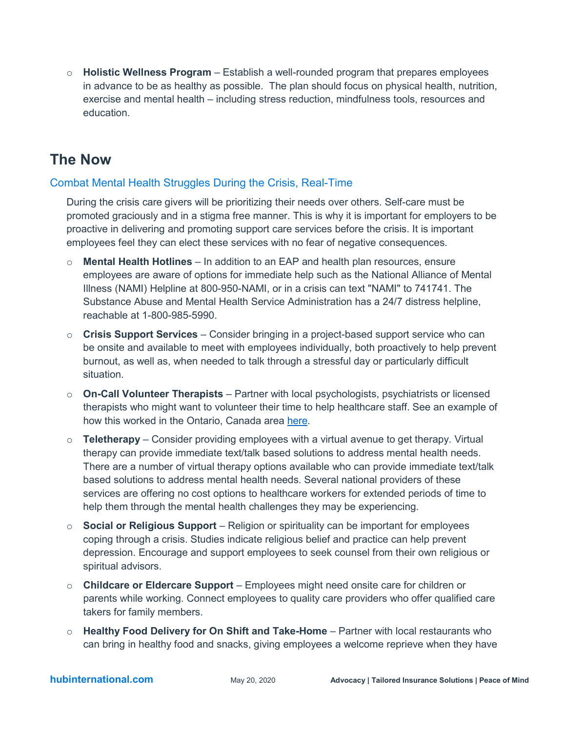o **Holistic Wellness Program** – Establish a well-rounded program that prepares employees in advance to be as healthy as possible. The plan should focus on physical health, nutrition, exercise and mental health – including stress reduction, mindfulness tools, resources and education.

### **The Now**

#### Combat Mental Health Struggles During the Crisis, Real-Time

During the crisis care givers will be prioritizing their needs over others. Self-care must be promoted graciously and in a stigma free manner. This is why it is important for employers to be proactive in delivering and promoting support care services before the crisis. It is important employees feel they can elect these services with no fear of negative consequences.

- o **Mental Health Hotlines** In addition to an EAP and health plan resources, ensure employees are aware of options for immediate help such as the National Alliance of Mental Illness (NAMI) Helpline at 800-950-NAMI, or in a crisis can text "NAMI" to 741741. The Substance Abuse and Mental Health Service Administration has a 24/7 distress helpline, reachable at 1-800-985-5990.
- o **Crisis Support Services** Consider bringing in a project-based support service who can be onsite and available to meet with employees individually, both proactively to help prevent burnout, as well as, when needed to talk through a stressful day or particularly difficult situation.
- o **On-Call Volunteer Therapists** Partner with local psychologists, psychiatrists or licensed therapists who might want to volunteer their time to help healthcare staff. See an example of how this worked in the Ontario, Canada area [here.](https://www.cbc.ca/news/canada/toronto/free-therapy-covid-19-health-workers-1.5510435)
- o **Teletherapy** Consider providing employees with a virtual avenue to get therapy. Virtual therapy can provide immediate text/talk based solutions to address mental health needs. There are a number of virtual therapy options available who can provide immediate text/talk based solutions to address mental health needs. Several national providers of these services are offering no cost options to healthcare workers for extended periods of time to help them through the mental health challenges they may be experiencing.
- o **Social or Religious Support** Religion or spirituality can be important for employees coping through a crisis. Studies indicate religious belief and practice can help prevent depression. Encourage and support employees to seek counsel from their own religious or spiritual advisors.
- o **Childcare or Eldercare Support** Employees might need onsite care for children or parents while working. Connect employees to quality care providers who offer qualified care takers for family members.
- o **Healthy Food Delivery for On Shift and Take-Home** Partner with local restaurants who can bring in healthy food and snacks, giving employees a welcome reprieve when they have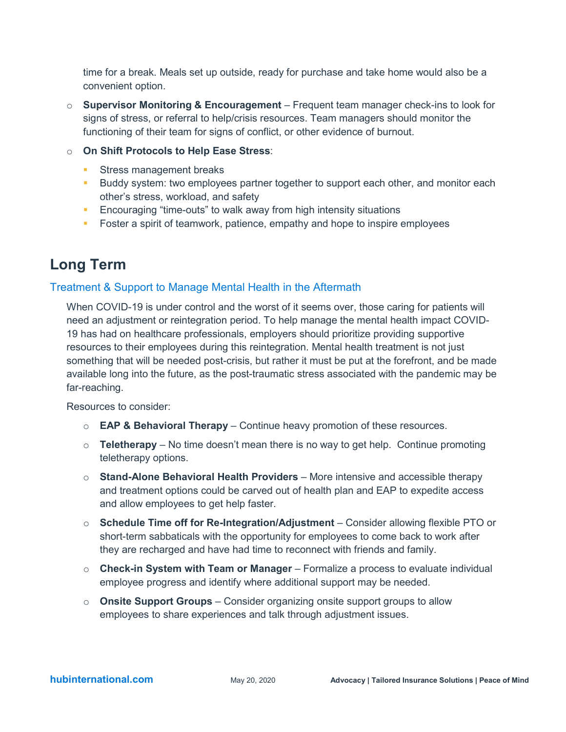time for a break. Meals set up outside, ready for purchase and take home would also be a convenient option.

- o **Supervisor Monitoring & Encouragement** Frequent team manager check-ins to look for signs of stress, or referral to help/crisis resources. Team managers should monitor the functioning of their team for signs of conflict, or other evidence of burnout.
- o **On Shift Protocols to Help Ease Stress**:
	- **Stress management breaks**
	- **Buddy system: two employees partner together to support each other, and monitor each** other's stress, workload, and safety
	- **Encouraging "time-outs" to walk away from high intensity situations**
	- **Foster a spirit of teamwork, patience, empathy and hope to inspire employees**

### **Long Term**

#### Treatment & Support to Manage Mental Health in the Aftermath

When COVID-19 is under control and the worst of it seems over, those caring for patients will need an adjustment or reintegration period. To help manage the mental health impact COVID-19 has had on healthcare professionals, employers should prioritize providing supportive resources to their employees during this reintegration. Mental health treatment is not just something that will be needed post-crisis, but rather it must be put at the forefront, and be made available long into the future, as the post-traumatic stress associated with the pandemic may be far-reaching.

Resources to consider:

- o **EAP & Behavioral Therapy** Continue heavy promotion of these resources.
- $\circ$  **Teletherapy** No time doesn't mean there is no way to get help. Continue promoting teletherapy options.
- o **Stand-Alone Behavioral Health Providers** More intensive and accessible therapy and treatment options could be carved out of health plan and EAP to expedite access and allow employees to get help faster.
- o **Schedule Time off for Re-Integration/Adjustment** Consider allowing flexible PTO or short-term sabbaticals with the opportunity for employees to come back to work after they are recharged and have had time to reconnect with friends and family.
- o **Check-in System with Team or Manager** Formalize a process to evaluate individual employee progress and identify where additional support may be needed.
- o **Onsite Support Groups** Consider organizing onsite support groups to allow employees to share experiences and talk through adjustment issues.